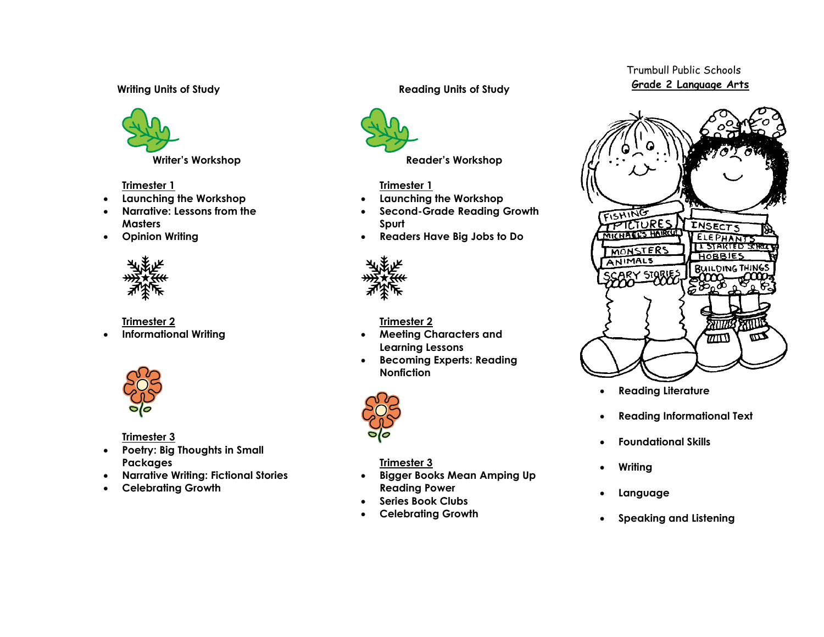## **Writing Units of Study**



**Writer's Workshop**

## **Trimester 1**

- **Launching the Workshop**
- **Narrative: Lessons from the Masters**
- **Opinion Writing**



**Trimester 2**

**Informational Writing**



**Trimester 3**

- **Poetry: Big Thoughts in Small Packages**
- **Narrative Writing: Fictional Stories**
- **Celebrating Growth**

# **Reading Units of Study**



# **Trimester 1**

- **Launching the Workshop**
- **Second-Grade Reading Growth Spurt**
- **Readers Have Big Jobs to Do**



# **Trimester 2**

- **Meeting Characters and Learning Lessons**
- **Becoming Experts: Reading Nonfiction**



**Trimester 3**

- **Bigger Books Mean Amping Up Reading Power**
- **Series Book Clubs**
- **Celebrating Growth**

# Trumbull Public Schools  **Grade 2 Language Arts**



- **Reading Literature**
- **Reading Informational Text**
- **Foundational Skills**
- **Writing**
- **Language**
- **Speaking and Listening**